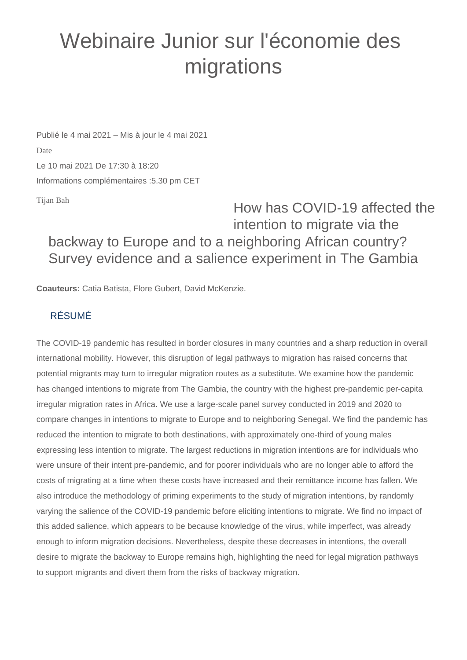## Webinaire Junior sur l'économie des migrations

Publié le 4 mai 2021 – Mis à jour le 4 mai 2021 Date Le 10 mai 2021 De 17:30 à 18:20 Informations complémentaires :5.30 pm CET

Tijan Bah

How has COVID-19 affected the intention to migrate via the backway to Europe and to a neighboring African country? Survey evidence and a salience experiment in The Gambia

**Coauteurs:** Catia Batista, Flore Gubert, David McKenzie.

## RÉSUMÉ

The COVID-19 pandemic has resulted in border closures in many countries and a sharp reduction in overall international mobility. However, this disruption of legal pathways to migration has raised concerns that potential migrants may turn to irregular migration routes as a substitute. We examine how the pandemic has changed intentions to migrate from The Gambia, the country with the highest pre-pandemic per-capita irregular migration rates in Africa. We use a large-scale panel survey conducted in 2019 and 2020 to compare changes in intentions to migrate to Europe and to neighboring Senegal. We find the pandemic has reduced the intention to migrate to both destinations, with approximately one-third of young males expressing less intention to migrate. The largest reductions in migration intentions are for individuals who were unsure of their intent pre-pandemic, and for poorer individuals who are no longer able to afford the costs of migrating at a time when these costs have increased and their remittance income has fallen. We also introduce the methodology of priming experiments to the study of migration intentions, by randomly varying the salience of the COVID-19 pandemic before eliciting intentions to migrate. We find no impact of this added salience, which appears to be because knowledge of the virus, while imperfect, was already enough to inform migration decisions. Nevertheless, despite these decreases in intentions, the overall desire to migrate the backway to Europe remains high, highlighting the need for legal migration pathways to support migrants and divert them from the risks of backway migration.